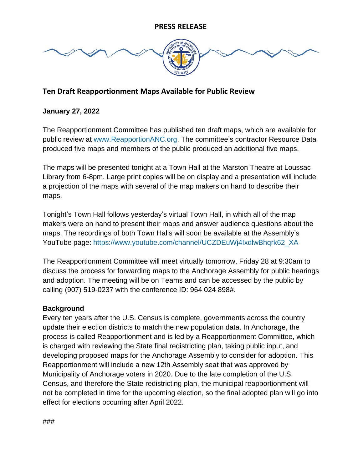

## **Ten Draft Reapportionment Maps Available for Public Review**

#### **January 27, 2022**

The Reapportionment Committee has published ten draft maps, which are available for public review at [www.ReapportionANC.org.](http://www.reapportionanc.org/) The committee's contractor Resource Data produced five maps and members of the public produced an additional five maps.

The maps will be presented tonight at a Town Hall at the Marston Theatre at Loussac Library from 6-8pm. Large print copies will be on display and a presentation will include a projection of the maps with several of the map makers on hand to describe their maps.

Tonight's Town Hall follows yesterday's virtual Town Hall, in which all of the map makers were on hand to present their maps and answer audience questions about the maps. The recordings of both Town Halls will soon be available at the Assembly's YouTube page: [https://www.youtube.com/channel/UCZDEuWj4IxdlwBhqrk62\\_XA](https://www.youtube.com/channel/UCZDEuWj4IxdlwBhqrk62_XA)

The Reapportionment Committee will meet virtually tomorrow, Friday 28 at 9:30am to discuss the process for forwarding maps to the Anchorage Assembly for public hearings and adoption. The meeting will be on Teams and can be accessed by the public by calling (907) 519-0237 with the conference ID: 964 024 898#.

#### **Background**

Every ten years after the U.S. Census is complete, governments across the country update their election districts to match the new population data. In Anchorage, the process is called Reapportionment and is led by a Reapportionment Committee, which is charged with reviewing the State final redistricting plan, taking public input, and developing proposed maps for the Anchorage Assembly to consider for adoption. This Reapportionment will include a new 12th Assembly seat that was approved by Municipality of Anchorage voters in 2020. Due to the late completion of the U.S. Census, and therefore the State redistricting plan, the municipal reapportionment will not be completed in time for the upcoming election, so the final adopted plan will go into effect for elections occurring after April 2022.